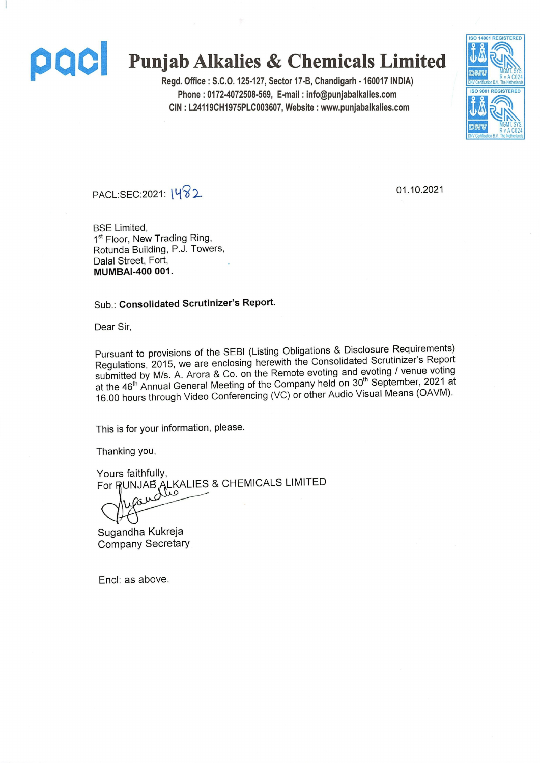

# **pacl Punjab Alkalies & Chemicals Limited**

**Regd. Office: S.C.O. 125-127, Sector 17-B, Chandigarh -160017 INDIA) Phone: 0172-4072508-569, E-mail: info@punjabalkalies.com CIN: L24119CH1975PLC003607, Website: www.punjabalkalies.com**



PACL.SEC:2021: [**482**

01.10.2021

BSE Limited, 1<sup>st</sup> Floor, New Trading Ring, Rotunda Building, P.J. Towers, Dalal Street, Fort, **MUMBAI-400 001.**

Sub.: **Consolidated Scrutinizer's Report.**

Dear Sir,

Pursuant to provisions of the SEBI (Listing Obligations & Disclosure Requirements) Regulations, 2015, we are enclosing herewith the Consolidated Scrutinizer's Report submitted by M/s. A. Arora & Co. on the Remote evoting and evoting / venue voting at the 46<sup>th</sup> Annual General Meeting of the Company held on 30<sup>th</sup> September, 2021 at 16.00 hours through Video Conferencing (VC) or other Audio Visual Means (OAVM).

This is for your information, please.

Thanking you,

Yours faithfully, For RUNJAB ALKALIES & CHEMICALS LIMITED

Sugandha Kukreja Company Secretary

Encl: as above.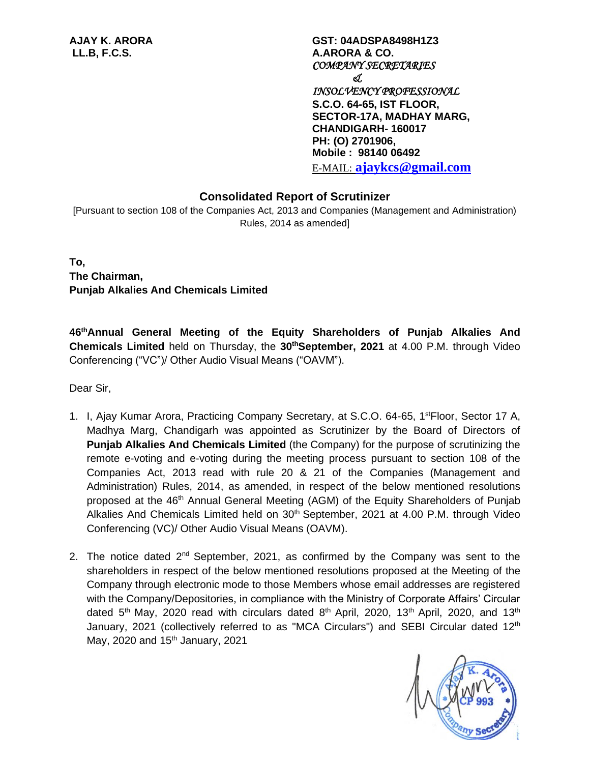**AJAY K. ARORA GST: 04ADSPA8498H1Z3 LL.B, F.C.S. A.ARORA & CO.** *COMPANY SECRETARIES & INSOLVENCY PROFESSIONAL*  **S.C.O. 64-65, IST FLOOR, SECTOR-17A, MADHAY MARG, CHANDIGARH- 160017 PH: (O) 2701906, Mobile : 98140 06492** E-MAIL: **[ajaykcs@gmail.com](mailto:ajaykcs@gmail.com)**

# **Consolidated Report of Scrutinizer**

[Pursuant to section 108 of the Companies Act, 2013 and Companies (Management and Administration) Rules, 2014 as amended]

**To, The Chairman, Punjab Alkalies And Chemicals Limited**

**46 thAnnual General Meeting of the Equity Shareholders of Punjab Alkalies And Chemicals Limited** held on Thursday, the **30thSeptember, 2021** at 4.00 P.M. through Video Conferencing ("VC")/ Other Audio Visual Means ("OAVM").

Dear Sir,

- 1. I, Ajay Kumar Arora, Practicing Company Secretary, at S.C.O. 64-65, 1<sup>st</sup>Floor, Sector 17 A, Madhya Marg, Chandigarh was appointed as Scrutinizer by the Board of Directors of **Punjab Alkalies And Chemicals Limited** (the Company) for the purpose of scrutinizing the remote e-voting and e-voting during the meeting process pursuant to section 108 of the Companies Act, 2013 read with rule 20 & 21 of the Companies (Management and Administration) Rules, 2014, as amended, in respect of the below mentioned resolutions proposed at the 46<sup>th</sup> Annual General Meeting (AGM) of the Equity Shareholders of Punjab Alkalies And Chemicals Limited held on 30<sup>th</sup> September, 2021 at 4.00 P.M. through Video Conferencing (VC)/ Other Audio Visual Means (OAVM).
- 2. The notice dated  $2^{nd}$  September, 2021, as confirmed by the Company was sent to the shareholders in respect of the below mentioned resolutions proposed at the Meeting of the Company through electronic mode to those Members whose email addresses are registered with the Company/Depositories, in compliance with the Ministry of Corporate Affairs' Circular dated 5<sup>th</sup> May, 2020 read with circulars dated 8<sup>th</sup> April, 2020, 13<sup>th</sup> April, 2020, and 13<sup>th</sup> January, 2021 (collectively referred to as "MCA Circulars") and SEBI Circular dated  $12<sup>th</sup>$ May, 2020 and  $15<sup>th</sup>$  January, 2021

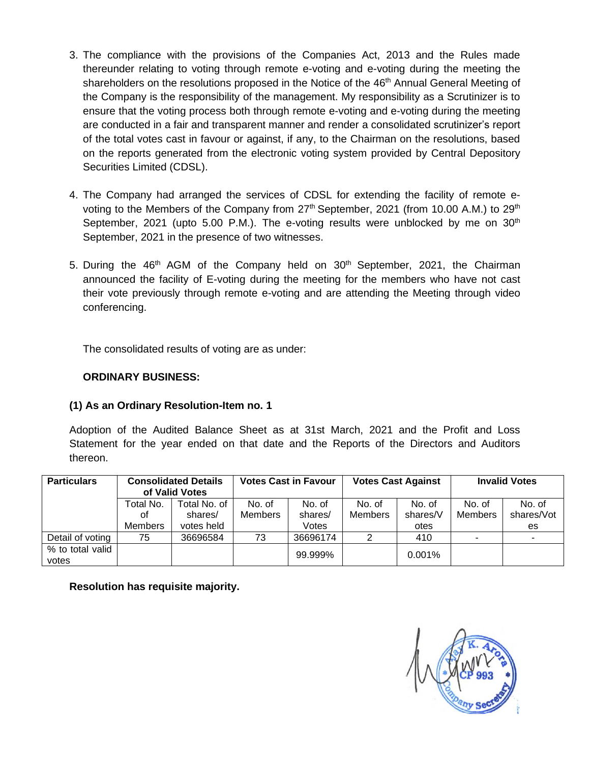- 3. The compliance with the provisions of the Companies Act, 2013 and the Rules made thereunder relating to voting through remote e-voting and e-voting during the meeting the shareholders on the resolutions proposed in the Notice of the 46<sup>th</sup> Annual General Meeting of the Company is the responsibility of the management. My responsibility as a Scrutinizer is to ensure that the voting process both through remote e-voting and e-voting during the meeting are conducted in a fair and transparent manner and render a consolidated scrutinizer's report of the total votes cast in favour or against, if any, to the Chairman on the resolutions, based on the reports generated from the electronic voting system provided by Central Depository Securities Limited (CDSL).
- 4. The Company had arranged the services of CDSL for extending the facility of remote evoting to the Members of the Company from 27<sup>th</sup> September, 2021 (from 10.00 A.M.) to 29<sup>th</sup> September, 2021 (upto 5.00 P.M.). The e-voting results were unblocked by me on  $30<sup>th</sup>$ September, 2021 in the presence of two witnesses.
- 5. During the 46<sup>th</sup> AGM of the Company held on 30<sup>th</sup> September, 2021, the Chairman announced the facility of E-voting during the meeting for the members who have not cast their vote previously through remote e-voting and are attending the Meeting through video conferencing.

The consolidated results of voting are as under:

#### **ORDINARY BUSINESS:**

### **(1) As an Ordinary Resolution-Item no. 1**

Adoption of the Audited Balance Sheet as at 31st March, 2021 and the Profit and Loss Statement for the year ended on that date and the Reports of the Directors and Auditors thereon.

| <b>Particulars</b>        | <b>Consolidated Details</b><br>of Valid Votes |                         | <b>Votes Cast in Favour</b> |                   | <b>Votes Cast Against</b> |                    | <b>Invalid Votes</b> |                      |
|---------------------------|-----------------------------------------------|-------------------------|-----------------------------|-------------------|---------------------------|--------------------|----------------------|----------------------|
|                           | Total No.<br>οt                               | Total No. of<br>shares/ | No. of<br>Members           | No. of<br>shares/ | No. of<br><b>Members</b>  | No. of<br>shares/V | No. of<br>Members    | No. of<br>shares/Vot |
|                           | Members                                       | votes held              |                             | Votes             |                           | otes               |                      | es                   |
| Detail of voting          | 75                                            | 36696584                | 73                          | 36696174          | າ                         | 410                |                      |                      |
| % to total valid<br>votes |                                               |                         |                             | 99.999%           |                           | 0.001%             |                      |                      |

**Resolution has requisite majority.**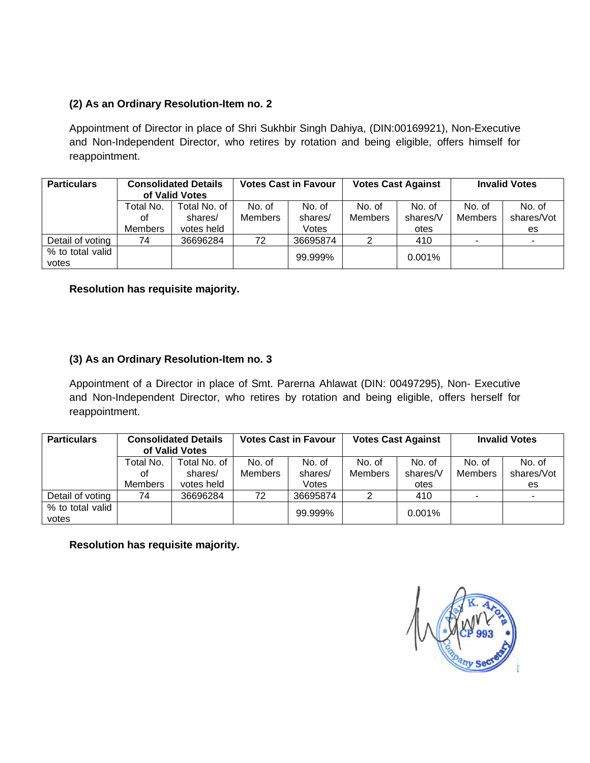# **(2) As an Ordinary Resolution-Item no. 2**

Appointment of Director in place of Shri Sukhbir Singh Dahiya, (DIN:00169921), Non-Executive and Non-Independent Director, who retires by rotation and being eligible, offers himself for reappointment.

| <b>Particulars</b>        | <b>Consolidated Details</b><br>of Valid Votes |            | <b>Votes Cast in Favour</b> |          | <b>Votes Cast Against</b> |          | <b>Invalid Votes</b> |            |
|---------------------------|-----------------------------------------------|------------|-----------------------------|----------|---------------------------|----------|----------------------|------------|
|                           | Total No. of<br>Total No.                     |            | No. of                      | No. of   | No. of                    | No. of   | No. of               | No. of     |
|                           | οt                                            | shares/    | Members                     | shares/  | <b>Members</b>            | shares/V | Members              | shares/Vot |
|                           | <b>Members</b>                                | votes held |                             | Votes    |                           | otes     |                      | es         |
| Detail of voting          | 74                                            | 36696284   | 72                          | 36695874 | ◠                         | 410      |                      | ۰          |
| % to total valid<br>votes |                                               |            |                             | 99.999%  |                           | 0.001%   |                      |            |

**Resolution has requisite majority.**

# **(3) As an Ordinary Resolution-Item no. 3**

Appointment of a Director in place of Smt. Parerna Ahlawat (DIN: 00497295), Non- Executive and Non-Independent Director, who retires by rotation and being eligible, offers herself for reappointment.

| <b>Particulars</b>        | <b>Consolidated Details</b><br>of Valid Votes |              | <b>Votes Cast in Favour</b> |          | <b>Votes Cast Against</b> |          | <b>Invalid Votes</b> |            |
|---------------------------|-----------------------------------------------|--------------|-----------------------------|----------|---------------------------|----------|----------------------|------------|
|                           | Гotal No.                                     | Total No. of | No. of                      | No. of   | No. of                    | No. of   | No. of               | No. of     |
|                           | οt                                            | shares/      | <b>Members</b>              | shares/  | <b>Members</b>            | shares/V | <b>Members</b>       | shares/Vot |
|                           | <b>Members</b>                                | votes held   |                             | Votes    |                           | otes     |                      | es         |
| Detail of voting          | 74                                            | 36696284     | 72                          | 36695874 |                           | 410      | ۰                    |            |
| % to total valid<br>votes |                                               |              |                             | 99.999%  |                           | 0.001%   |                      |            |

**Resolution has requisite majority.**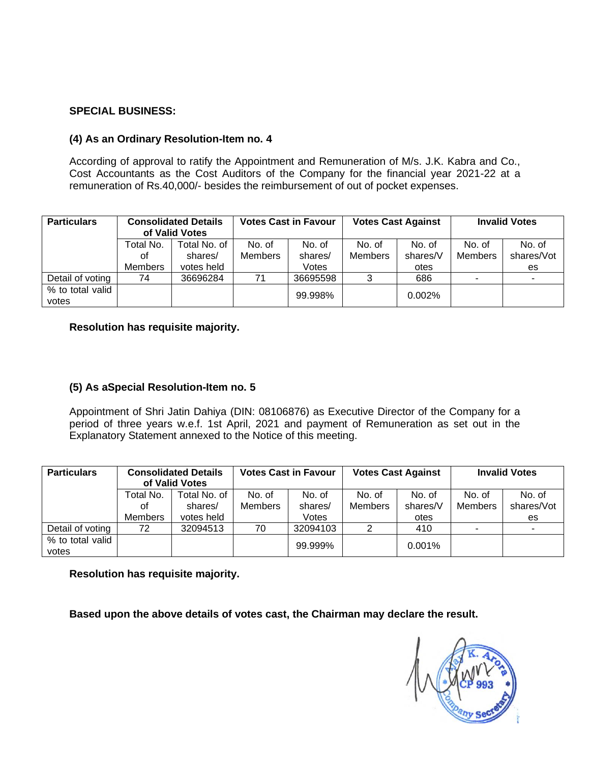### **SPECIAL BUSINESS:**

### **(4) As an Ordinary Resolution-Item no. 4**

According of approval to ratify the Appointment and Remuneration of M/s. J.K. Kabra and Co., Cost Accountants as the Cost Auditors of the Company for the financial year 2021-22 at a remuneration of Rs.40,000/- besides the reimbursement of out of pocket expenses.

| <b>Particulars</b>        | <b>Consolidated Details</b><br>of Valid Votes |              | <b>Votes Cast in Favour</b> |          | <b>Votes Cast Against</b> |          | <b>Invalid Votes</b>     |            |
|---------------------------|-----------------------------------------------|--------------|-----------------------------|----------|---------------------------|----------|--------------------------|------------|
|                           | Total No.                                     | Total No. of | No. of                      | No. of   | No. of                    | No. of   | No. of                   | No. of     |
|                           | οt                                            | shares/      | <b>Members</b>              | shares/  | <b>Members</b>            | shares/V | Members                  | shares/Vot |
|                           | <b>Members</b>                                | votes held   |                             | Votes    |                           | otes     |                          | es         |
| Detail of voting          | 74                                            | 36696284     | 71                          | 36695598 |                           | 686      | $\overline{\phantom{a}}$ | ٠          |
| % to total valid<br>votes |                                               |              |                             | 99.998%  |                           | 0.002%   |                          |            |

**Resolution has requisite majority.**

# **(5) As aSpecial Resolution-Item no. 5**

Appointment of Shri Jatin Dahiya (DIN: 08106876) as Executive Director of the Company for a period of three years w.e.f. 1st April, 2021 and payment of Remuneration as set out in the Explanatory Statement annexed to the Notice of this meeting.

| <b>Particulars</b>        | <b>Consolidated Details</b><br>of Valid Votes |              | <b>Votes Cast in Favour</b> |          | <b>Votes Cast Against</b> |          | <b>Invalid Votes</b> |            |
|---------------------------|-----------------------------------------------|--------------|-----------------------------|----------|---------------------------|----------|----------------------|------------|
|                           | Total No.                                     | Total No. of | No. of                      | No. of   | No. of                    | No. of   | No. of               | No. of     |
|                           | οt                                            | shares/      | <b>Members</b>              | shares/  | <b>Members</b>            | shares/V | <b>Members</b>       | shares/Vot |
|                           | Members                                       | votes held   |                             | Votes    |                           | otes     |                      | es         |
| Detail of voting          | 72                                            | 32094513     | 70                          | 32094103 |                           | 410      | -                    |            |
| % to total valid<br>votes |                                               |              |                             | 99.999%  |                           | 0.001%   |                      |            |

**Resolution has requisite majority.**

**Based upon the above details of votes cast, the Chairman may declare the result.**